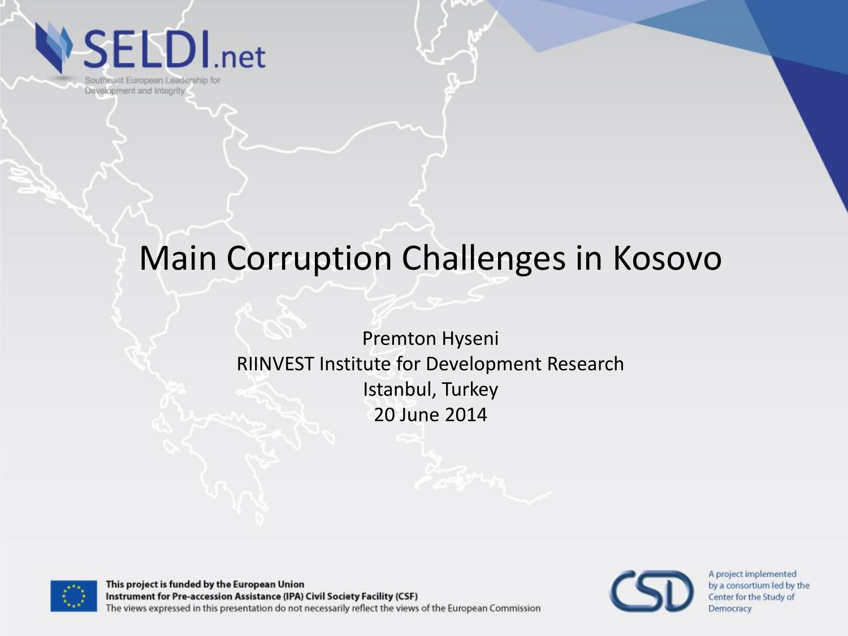**SELDI**.net

Southeast European Leadership for Development and Integrity

#### Main Corruption Challenges in Kosovo

Premton Hyseni RIINVEST Institute for Development Research Istanbul, Turkey 20 June 2014



This project is funded by the European Union Instrument for Pre-accession Assistance (IPA) Civil Society Facility (CSF) The views expressed in this presentation do not necessarily reflect the views of the European Commission

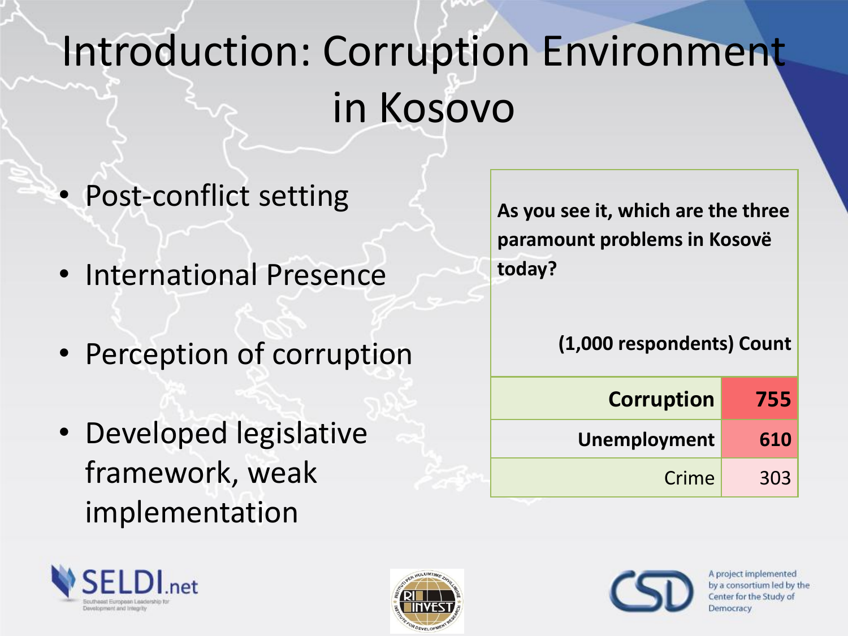# Introduction: Corruption Environment in Kosovo

- Post-conflict setting
- International Presence
- Perception of corruption
- Developed legislative framework, weak implementation

**As you see it, which are the three paramount problems in Kosovë today?**

#### **(1,000 respondents) Count**

| <b>Corruption</b> | 755 |
|-------------------|-----|
| Unemployment      | 610 |
| Crime             | 303 |





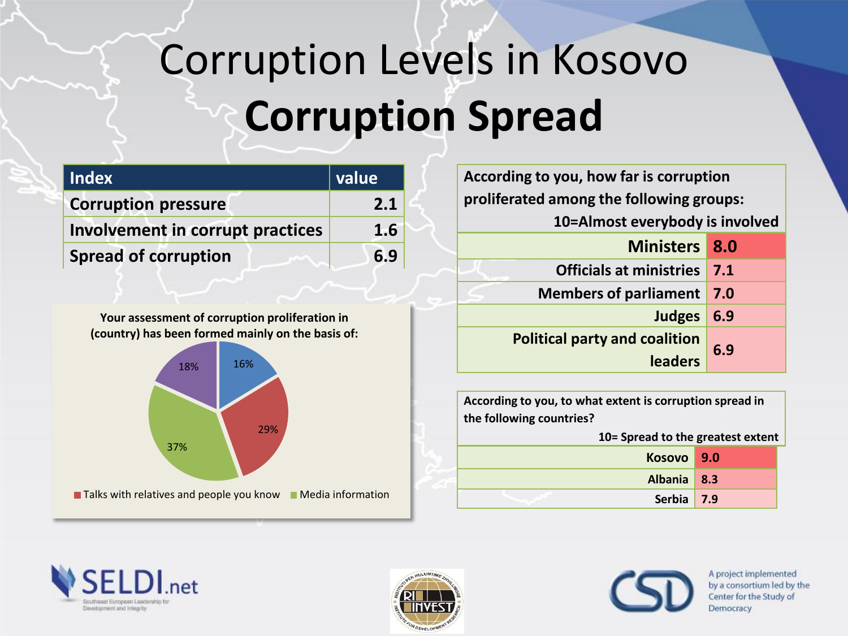# Corruption Levels in Kosovo **Corruption Spread**

| l Index                          | value |
|----------------------------------|-------|
| <b>Corruption pressure</b>       | 2.1   |
| Involvement in corrupt practices | 1.6   |
| <b>Spread of corruption</b>      | 6.9   |

**Your assessment of corruption proliferation in (country) has been formed mainly on the basis of:**



| According to you, how far is corruption         |     |  |
|-------------------------------------------------|-----|--|
| proliferated among the following groups:        |     |  |
| 10=Almost everybody is involved                 |     |  |
| Ministers 8.0                                   |     |  |
| Officials at ministries 7.1                     |     |  |
| <b>Members of parliament</b>                    | 7.0 |  |
| Judges 6.9                                      |     |  |
| <b>Political party and coalition</b><br>leaders | 6.9 |  |

**According to you, to what extent is corruption spread in the following countries? 10= Spread to the greatest extent Kosovo 9.0 Albania 8.3 Serbia 7.9**





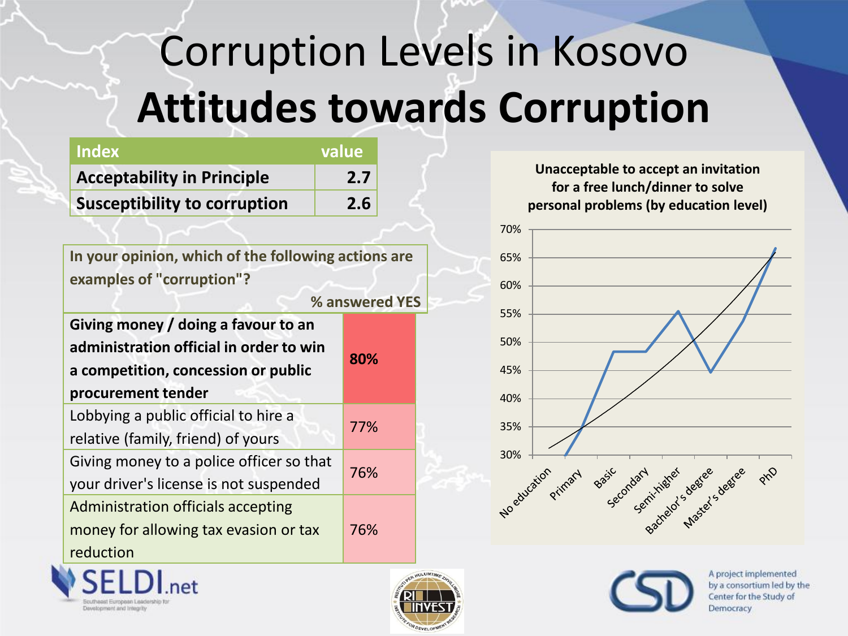# Corruption Levels in Kosovo **Attitudes towards Corruption**

| <b>Index</b>                        | value |
|-------------------------------------|-------|
| <b>Acceptability in Principle</b>   | 2.7   |
| <b>Susceptibility to corruption</b> | 2.6   |

**In your opinion, which of the following actions are examples of "corruption"?**

**% answered YES** 

| Giving money / doing a favour to an      |     |  |
|------------------------------------------|-----|--|
| administration official in order to win  | 80% |  |
| a competition, concession or public      |     |  |
| procurement tender                       |     |  |
| Lobbying a public official to hire a     | 77% |  |
| relative (family, friend) of yours       |     |  |
| Giving money to a police officer so that | 76% |  |
| your driver's license is not suspended   |     |  |
| Administration officials accepting       |     |  |
| money for allowing tax evasion or tax    | 76% |  |
| reduction                                |     |  |

**Unacceptable to accept an invitation for a free lunch/dinner to solve personal problems (by education level)**







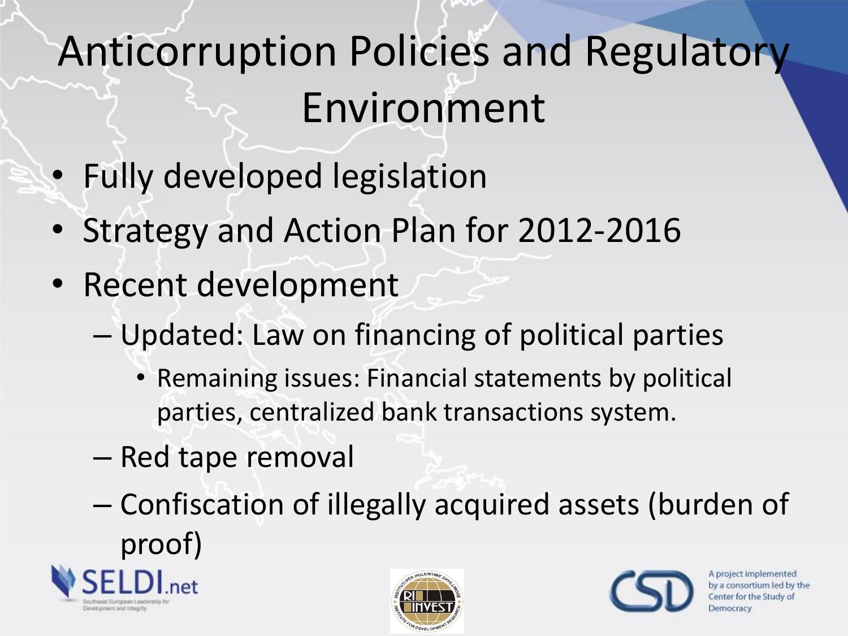# Anticorruption Policies and Regulatory Environment

- Fully developed legislation
- Strategy and Action Plan for 2012-2016
- Recent development
	- Updated: Law on financing of political parties
		- Remaining issues: Financial statements by political parties, centralized bank transactions system.
	- Red tape removal
	- Confiscation of illegally acquired assets (burden of proof)





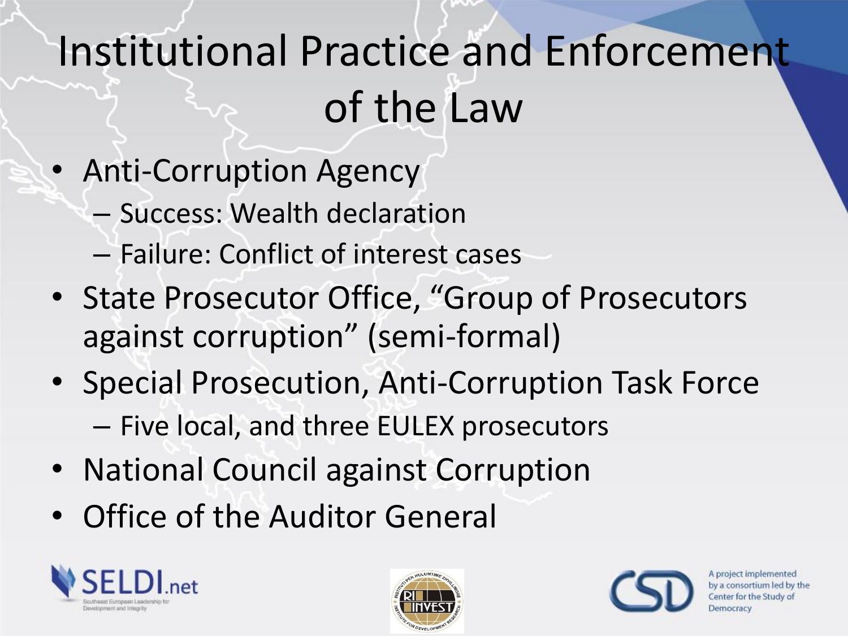# Institutional Practice and Enforcement of the Law

- Anti-Corruption Agency
	- Success: Wealth declaration
	- Failure: Conflict of interest cases
- State Prosecutor Office, "Group of Prosecutors against corruption" (semi-formal)
- Special Prosecution, Anti-Corruption Task Force – Five local, and three EULEX prosecutors
- National Council against Corruption
- Office of the Auditor General





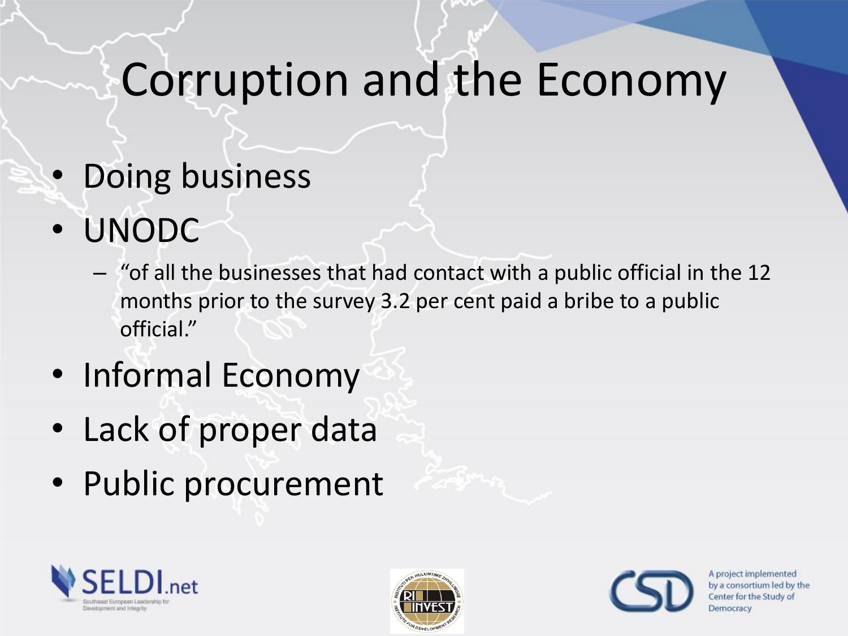### Corruption and the Economy

- Doing business
- UNODC
	- "of all the businesses that had contact with a public official in the 12 months prior to the survey 3.2 per cent paid a bribe to a public official."
- Informal Economy
- Lack of proper data
- Public procurement





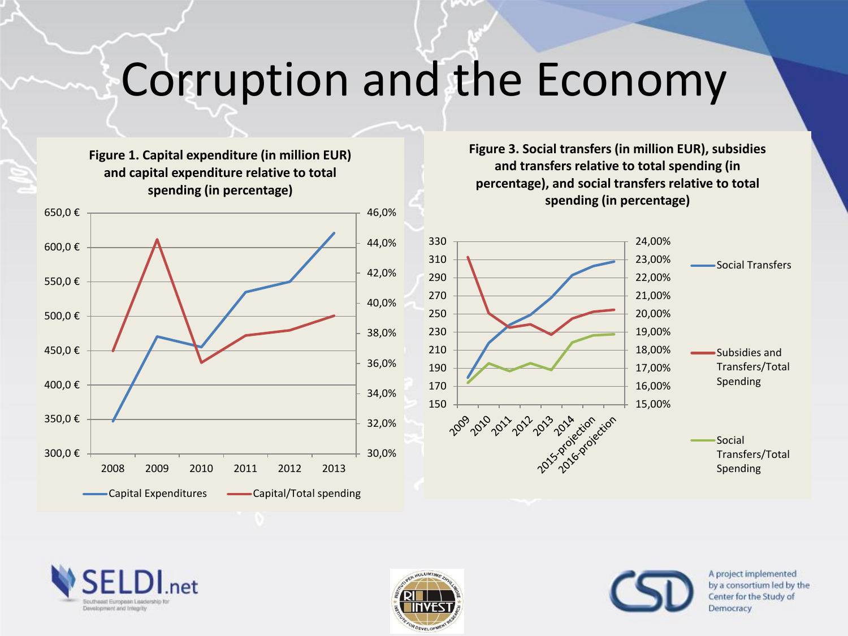#### Corruption and the Economy

46,0% 650,0 € **Figure 1. Capital expenditure (in million EUR) and capital expenditure relative to total spending (in percentage)** 

**Figure 3. Social transfers (in million EUR), subsidies and transfers relative to total spending (in percentage), and social transfers relative to total spending (in percentage)**







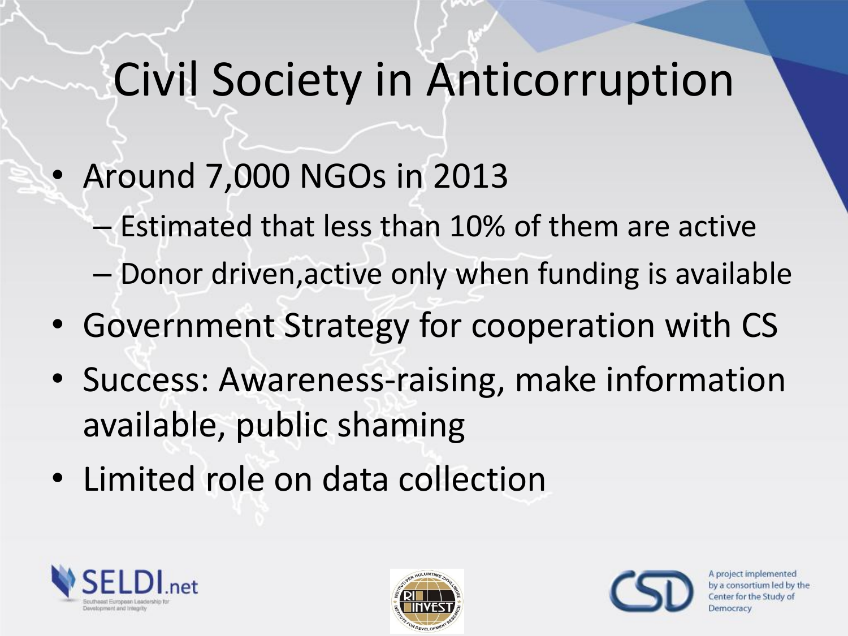## Civil Society in Anticorruption

- Around 7,000 NGOs in 2013
	- Estimated that less than 10% of them are active
	- Donor driven,active only when funding is available
- Government Strategy for cooperation with CS
- Success: Awareness-raising, make information available, public shaming
- Limited role on data collection





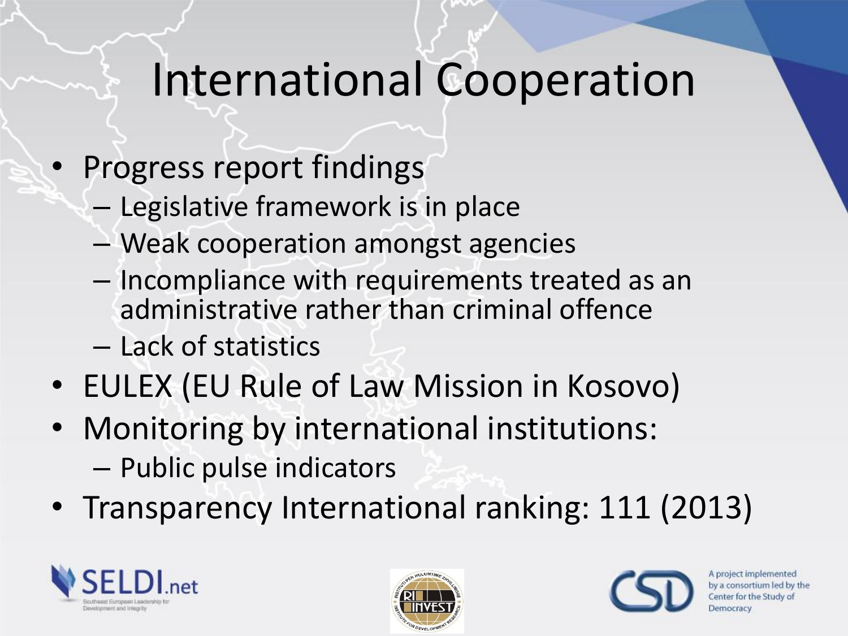## International Cooperation

- Progress report findings
	- Legislative framework is in place
	- Weak cooperation amongst agencies
	- Incompliance with requirements treated as an administrative rather than criminal offence
	- Lack of statistics
- EULEX (EU Rule of Law Mission in Kosovo)
- Monitoring by international institutions: – Public pulse indicators
- Transparency International ranking: 111 (2013)





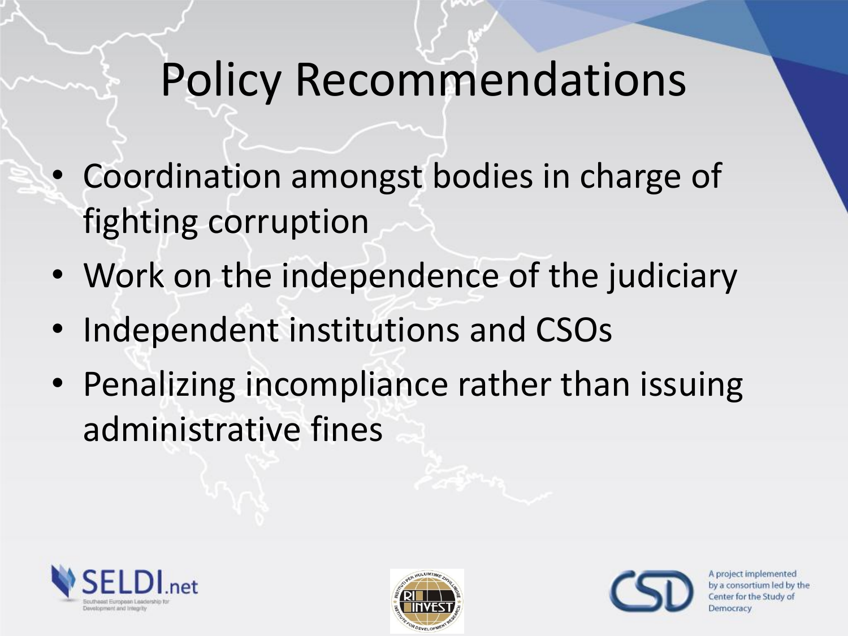## Policy Recommendations

- Coordination amongst bodies in charge of fighting corruption
- Work on the independence of the judiciary
- Independent institutions and CSOs
- Penalizing incompliance rather than issuing administrative fines